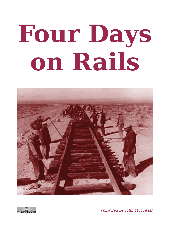# **Four Days on Rails**





compiled by John McCreesh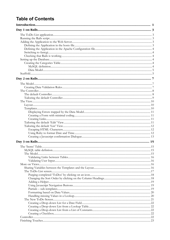# **Table of Contents**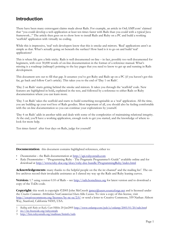# **Introduction**

There have been many extravagant claims made about Rails. For example, an article in OnLAMP.com<sup>[1](#page-4-0)</sup> claimed that "you could develop a web application at least ten times faster with Rails than you could with a typical Java framework..." The article then goes on to show how to install Rails and Ruby on a PC and build a working 'scaffold' application with virtually no coding.

While this is impressive, 'real' web developers know that this is smoke and mirrors. 'Real' applications aren't as simple as that. What's actually going on beneath the surface? How hard is it to go on and build 'real' applications?

This is where life gets a little tricky. Rails is well documented on-line – in fact, possibly too well documented for beginners, with over 30,000 words of on-line documentation in the format of a reference manual. What's missing is a roadmap (railmap?) pointing to the key pages that you need to know to get up and running in Rails development.

This document sets out to fill that gap. It assumes you've got Ruby and Rails up on a PC (if you haven't got this far, go back and follow Curt's article). This takes you to the end of 'Day 1 on Rails'.

'Day 2 on Rails' starts getting behind the smoke and mirrors. It takes you through the 'scaffold' code. New features are highlighted in bold**,** explained in the text, and followed by a reference to either Rails or Ruby documentation where you can learn more.

'Day 3 on Rails' takes the scaffold and starts to build something recognisable as a 'real' application. All the time, you are building up your tool box of Rails goodies. Most important of all, you should also be feeling comfortable with the on-line documentation so you can continue your explorations by yourself.

'Day 4 on Rails' adds in another table and deals with some of the complexities of maintaining relational integrity. At the end, you'll have a working application, enough tools to get you started, and the knowledge of where to look for more help.

Ten times faster? after four days on Rails, judge for yourself!

**Documentation**: this document contains highlighted references, either to:

- *Documentation* the Rails documentation at [http://api.rubyonrails.com](http://api.rubyonrails.com/)
- *Ruby Documentation* "Programming Ruby The Pragmatic Programmer's Guide" available online and for download at <http://www.ruby-doc.org/docs/ruby-doc-bundle/ProgrammingRuby/index.html>

Acknowledgements: many thanks to the helpful people on the the irc channel<sup>[2](#page-4-1)</sup> and the mailing list<sup>[3](#page-4-2)</sup>. The onlive archives record their invaluable assistance as I clawed my way up the Rails and Ruby leaning curves.

**Version:** 1.7 using version 0.10 of Rails – see [http://rails.homelinux.org](http://rails.homelinux.org/) for latest version and to download a copy of the ToDo code.

**Copyright**: this work is copyright ©2005 John McCreesh [jpmcc@users.sourceforge.net](mailto:jpmcc@users.sourceforge.net?subject=Four Days on Rails) and is licensed under the *Creative Commons Attribution-NonCommercial-ShareAlike License*. To view a copy of this license, visit <http://creativecommons.org/licenses/by-nc-sa/2.0/> or send a letter to Creative Commons, 559 Nathan Abbott Way, Stanford, California 94305, USA.

<span id="page-4-0"></span><sup>1</sup> *Rolling with Ruby on Rails,* Curt Hibbs 20-Jan2005 [http://www.onlamp.com/pub/a/onlamp/2005/01/20/rails.html](http://www.onlamp.com/pub/a/onlamp/2005/01/20/rails.htm)

<span id="page-4-1"></span><sup>2</sup> irc://irc.freenode.org/rubyonrails

<span id="page-4-2"></span><sup>3</sup> http://lists.rubyonrails.org/mailman/listinfo/rails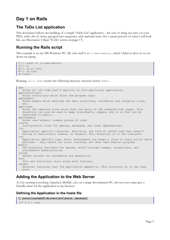# **Day 1 on Rails**

# **The ToDo List application**

This document follows the building of a simple 'ToDo List' application – the sort of thing you have on your PDA, with a list of items, grouped into categories, with optional notes (for a sneak preview of what it will look like, see Illustration [4 Main 'To Do' screen](#page-20-0) on page [17](#page-20-0)).

# <span id="page-6-0"></span>**Running the Rails script**

This example is on my MS-Windows PC. My web stuff is at  $c:\ww\ww\webroot$ , which I label as drive w: to cut down on typing:

```
C:\> subst w: c:\www\webroot
C: \> w:W:\> rails ToDo
W:\> cd ToDo
W:\ToDo>
```
Running rails ToDo creates the following directory structure below ToDo\:

```
app
  Holds all the code that's specific to this particular application.
app\controllers 
  Holds controllers which drive the program logic
app\models 
  Holds models which describe the data structures, validation and integrity rules,
  etc.
app\views 
  Holds the template files which form the basis of the rendered html pages. This
  directory can also be used to keep stylesheets, images, and so on that can be
  symlinked to public.
app\helpers 
  Holds view helpers (common pieces of code)
config 
  Configuration files for Apache, database, and other dependencies.
lih
   Application specific libraries. Basically, any kind of custom code that doesn't
   belong in controllers, models, or helpers. This directory is in the load path.
log
  Application specific logs. Note: development.log keeps a trace of every action Rails
  performs – very useful for error tracking, but does need regular purging!
public
  The directory available for Apache, which includes iamges, javascripts, and
  stylesheets subdirectories
script
  Helper scripts for automation and generation.
test
  Unit and functional tests along with fixtures.
vendor
  External libraries that the application depend on. This directory is in the load
  path.
```
# **Adding the Application to the Web Server**

As I'm running everything (Apache2, MySQL, etc) on a single development PC, the next two steps give a friendly name for the application in my browser.

## **Defining the Application in the hosts file**

```
C:\winnt\system32\drivers\etc\hosts (excerpt) 
127.0.0.1 todo
```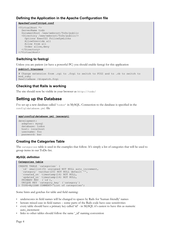## **Defining the Application in the Apache Configuration file**

#### **Apache2\conf\httpd.conf**

```
<VirtualHost *>
   ServerName todo
   DocumentRoot /www/webroot/ToDo/public
   <Directory /www/webroot/ToDo/public/>
    Options ExecCGI FollowSymLinks
     AllowOverride all
    Allow from all
    Order allow,deny
   </Directory>
</VirtualHost>
```
## **Switching to fastcgi**

Unless you are patient (or have a powerful PC) you should enable fastcgi for this application

```
public\.htaccess
# Change extension from .cgi to .fcgi to switch to FCGI and to .rb to switch to
mod_ruby
RewriteBase /dispatch.fcgi
```
## **Checking that Rails is working**

The site should now be visible in your browser as http://todo/

# **Setting up the Database**

I've set up a new database called 'todos' in MySQL. Connection to the database is specified in the config\database.yml file

#### **app\config\database.yml (excerpt)**

```
development:
  adapter: mysql
   database: todos
  host: localhost
   username: foo
  password: bar
```
## **Creating the Categories Table**

The categories table is used in the examples that follow. It's simply a list of categories that will be used to group items in our ToDo list.

#### *MySQL definition*

```
Categories table
```

```
CREATE TABLE `categories` (
  `id` smallint(5) unsigned NOT NULL auto increment,
  `category` varchar(20) NOT NULL default<sup>-'</sup>',
 `created_on` timestamp(14) NOT NULL,
`updated on` timestamp(14) NOT NULL,
 PRIMARY KEY (`id`),
 UNIQUE KEY `category_key` (`category`)
) TYPE=MyISAM COMMENT='List of categories';
```
Some hints and gotchas for table and field naming:

- underscores in field names will be changed to spaces by Rails for 'human friendly' names
- beware mixed case in field names some parts of the Rails code have case sensitivities
- every table should have a primary key called 'id' in MySQL it's easiest to have this as numeric auto\_increment
- links to other tables should follow the same '\_id' naming convention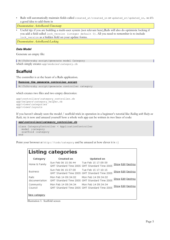• Rails will automatically maintain fields called created\_at/created\_on or updated\_at/updated\_on, so it's a good idea to add them in

*Documentation: ActiveRecord::Timestamp*

• Useful tip: if you are building a multi-user system (not relevant here),Rails will also do optimistic locking if you add a field called lock\_version (integer default 0). All you need to remember is to include lock version as a hidden field on your update forms.

*Documentation: ActiveRecord::Locking*

#### *Data Model*

Generate an empty file:

```
W:\ToDo>ruby script/generate model Category
which simply creates app\modules\category.rb
```
# **Scaffold**

The controller is at the heart of a Rails application.

```
Running the generate controller script
```

```
W:\ToDo>ruby script/generate controller category
```
which creates two files and two empty directories:

```
app\controllers\category_controller.rb
app\helpers\category_helper.rb
app\views\categories
app\views\layouts
```
If you haven't already seen the model / scaffold trick in operation in a beginner's tutorial like *Rolling with Ruby on Rails,* try it now and amazed yourself how a whole web app can be written in two lines of code:

```
app\controllers\category_controller.rb
class CategoryController < ApplicationController
   model :category
   scaffold :category
end
```
Point your browser at http://todo/category and be amazed at how clever it is :-)

| Listing categories            |                                         |                                                                      |                          |  |  |
|-------------------------------|-----------------------------------------|----------------------------------------------------------------------|--------------------------|--|--|
| Category                      | <b>Created on</b>                       | <b>Updated on</b>                                                    |                          |  |  |
| Home & Family                 | Sun Feb 06 15:56:44 Tue Feb 15 17:09:59 | GMT Standard Time 2005 GMT Standard Time 2005                        | Show Edit Destroy        |  |  |
| <b>Business</b>               | Sun Feb 06 15:57:00                     | Tue Feb 15 17:10:15<br>GMT Standard Time 2005 GMT Standard Time 2005 | <b>Show Edit Destroy</b> |  |  |
| <b>Rails</b><br>documentation | Mon Feb 14 09:34:02                     | Mon Feb 14 09:34:02<br>GMT Standard Time 2005 GMT Standard Time 2005 | <b>Show Edit Destroy</b> |  |  |
| Community<br>Council          | Mon Feb 14 09:34:34                     | Mon Feb 14 09:34:34<br>GMT Standard Time 2005 GMT Standard Time 2005 | <b>Show Edit Destroy</b> |  |  |
| New category                  |                                         |                                                                      |                          |  |  |

Illustration 1: Scaffold screen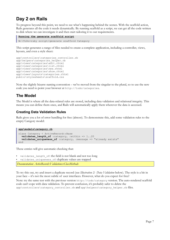# **Day 2 on Rails**

To progress beyond this point, we need to see what's happening behind the scenes. With the scaffold action, Rails generates all the code it needs dynamically. By running scaffold as a script, we can get all the code written to disk where we can investigate it and then start tailoring it to our requirements.

#### **Running the generate scaffold script**

```
W:\ToDo>ruby script/generate scaffold Category
```
This script generates a range of files needed to create a complete application, including a controller, views, layouts, and even a style sheet:

```
app\controllers\categories_controller.rb
app\helpers\categories helper.rb
app\views\categories\edit.rhtml
app\views\categories\list.rhtml
app\views\categories\new.rhtml
app\views\categories\show.rhtml
app\views\layouts\categories.rhtml
public\stylesheets\scaffold.css
```
Note the slightly bizarre naming convention – we've moved from the singular to the plural, so to use the new code you need to point your browser at http://todo/categories.

# **The Model**

The Model is where all the data-related rules are stored, including data validation and relational integrity. This means you can define them once, and Rails will automatically apply them wherever the data is accessed.

## **Creating Data Validation Rules**

Rails gives you a lot of error handling for free (almost). To demonstrate this, add some validation rules to the empty Category model:

```
app\models\category.rb
class Category < ActiveRecord::Base
  validates_length_of :category, :within => 1..20
 validates uniqueness of :category, :message => "already exists"
end
```
These entries will give automatic checking that:

validates length of: the field is not blank and not too long

validates uniqueness of: duplicate values are trapped

*Documentation: ActiveRecord::Validations::ClassMethods*

To try this out, try and insert a duplicate record (see *[Illustration 2: Data](#page-11-0) Validation* [below\)](#page-11-0). The style is a bit in your face – it's not the most subtle of user interfaces. However, what do you expect for free?

Note: try the same test with the previous version http://todo/category version. The auto-rendered scaffold code can't cope with data validation. To prevent confusion, it's probably safer to delete the app\controllers\category\_controller.rb and app\helpers\category\_helper.rb files.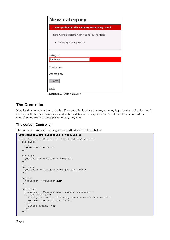

# <span id="page-11-0"></span>**The Controller**

Now it's time to look at the controller. The controller is where the programming logic for the application lies. It interacts with the user using views, and with the database through models. You should be able to read the controller and see how the application hangs together.

# **The default Controller**

The controller produced by the generate scaffold script is listed below

```
\app\controllers\categories_controller.rb
class CategoriesController < ApplicationController
   def index
     list
     render_action 'list'
   end
  def list
     @categories = Category.find_all
   end
  def show
    @category = Category.find(@params['id'])
   end
  def new
     @category = Category.new
   end
   def create
     @category = Category.new(@params['category'])
     if @category.save
       flash['notice'] = 'Category was successfully created.'
       redirect_to :action => 'list'
     else
       render_action 'new'
     end
   end
```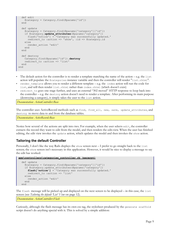```
 def edit
     @category = Category.find(@params['id'])
   end
   def update
     @category = Category.find(@params['category']['id'])
     if @category.update_attributes(@params['category'])
 flash['notice'] = 'Category was successfully updated.'
 redirect_to :action => 'show', :id => @category.id
     else
      render_action 'edit'
     end
   end
   def destroy
    Category.find(@params['id']).destroy
    redirect_to :action => 'list'
   end
end
```
- The default action for the controller is to render a template matching the name of the action e.g. the list action will populate the @categories instance variable and then the controller will render "list.rhtml".
- render template allows you to render a different template e.g. the index action will run the code for list, and will then render list.rhtml rather than index.rhtml (which doesn't exist)
- redirect to goes one stage further, and uses an external "302 moved" HTTP response to loop back into the controller – e.g. the destroy action doesn't need to render a template. After performing its main purpose (destroying a category), it simply takes the user to the list action.

*Documentation: ActionController::Base*

The controller uses ActiveRecord methods such as find, find all, new, save, update attributes, and destroy to move data to and from the database tables.

*Documentation: ActiveRecord::Base*

Notice how several of the actions are split into two. For example, when the user selects edit, the controller extracts the record they want to edit from the model, and then renders the edit.view. When the user has finished editing, the edit view invokes the update action, which updates the model and then invokes the show action.

#### **Tailoring the default Controller**

Personally, I don't like the way Rails displays the show screen next – I prefer to go straight back to the list screen; the show screen isn't necessary in this application. However, it would be nice to display a message to say the edit has worked:

```
app\controllers\categories_controller.rb (excerpt)
   def update
     @category = Category.find(@params['category']['id'])
    if @category.update attributes(@params['category'])
       flash['notice'] = 'Category was successfully updated.'
      redirect to : action => 'list'
     else
      render_action 'edit'
     end
   end
```
The flash message will be picked up and displayed on the next screen to be displayed – in this case, the list screen (see *[Tailoring the default 'List' View](#page-15-0)* on page [12\)](#page-15-0).

*Documentation: ActionController::Flash*

Curiously, although the flash message has its own css tag, the stylesheet produced by the generate scaffold script doesn't do anything special with it. This is solved by a simple addition: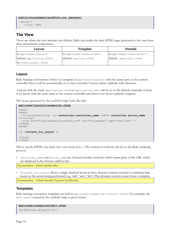```
public\stylesheets\scaffold.css (excerpt)
.notice {
     color: red;
}
```
# **The View**

Views are where the user interface are defined. Rails can render the final HTML page presented to the user from three hierarchical components:

| Layout                             | Template                                 | <b>Partials</b>                          |
|------------------------------------|------------------------------------------|------------------------------------------|
| $\langle$ in app\views\layouts\    | in app\views\ <controller>\</controller> | in app\views\ <controller>\</controller> |
| default: application.rhtml         | default: <action>.rhtml</action>         | default <partial>.rhtml</partial>        |
| or <controller>.rhtml</controller> |                                          |                                          |

# **Layout**

Rails Naming convention: if there is a template in app\views\layouts\ with the same name as the current controller then it will be automatically set as that controller's layout unless explicitly told otherwise.

A layout with the name application.rhtml or application.rxml will be set as the default controller if there is no layout with the same name as the current controller and there is no layout explicitly assigned.

The layout generated by the scaffold script looks like this:

```
app\views\layouts\categories.rhtml
<h+ml><head>
  <title>Scaffolding: <%= controller.controller_name %>#<%= controller.action_name
%></title>
   <link href="/stylesheets/scaffold.css" rel="stylesheet" type="text/css" />
</head>
<body>
<%= @content_for_layout %>
</body>
\langle/html>
```
This is mostly HTML, but there isn't very much of it :-) The sections in bold are the key to the Rails rendering process:

controller name and action name are ActionController methods which return parts of the URL which are displayed in the browser address bar.

*Documentation: ActionController::Base*

• @content\_for\_layout allows a single standard layout to have dynamic content inserted at rendering time based on the action being performed (e.g. 'edit', 'new', 'list'). This dynamic content comes from a template. *Documentation: ActionController::Layout::ClassMethods.*

## **Templates**

Rails naming convention: templates are held in app\views\categories\'action'.rhtml. For example, the edit.rhtml created by the scaffold script is given below:

```
app\views\categories\edit.rhtml
<h1>Editing category</h1>
```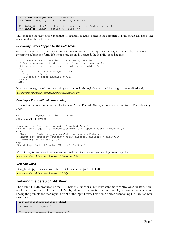```
\langle\<sup>2</sup> error messages for 'category' %>
<%= form 'category', :action => 'update' %>
<%= link_to 'Show', :action => 'show', :id => @category.id %> |
\langle \hat{\mathbf{x}} \rangle = \mathbf{link} to 'Back', :action => 'list' \hat{\mathbf{x}}
```
This code for the 'edit' action is all that is required for Rails to render the complete HTML for an edit page. The magic is all in the bold type:

#### *Displaying Errors trapped by the Data Model*

error messages for returns a string with marked-up text for any error messages produced by a previous attempt to submit the form. If one or more errors is detected, the HTML looks like this:

```
<div class="errorExplanation" id="errorExplanation">
   <h2>n errors prohibited this user from being saved</h2>
   <p>There were problems with the following fields:</p>
  \langle u1 \rangle <li>field_1 error_message_1</li>
    \langleli>... .\cdot.../li>
     <li>field_n error_message_n</li>
  \langle/ul>\langle/div\rangle
```
Note: the css tags match corresponding statements in the stylesheet created by the generate scaffold script. *Documentation: ActionView::Helpers::ActiveRecordHelper*

#### *Creating a Form with minimal coding*

form is Rails at its most economical. Given an Active Record Object, it renders an entire form. The following code:

```
<%= form 'category', :action => 'update' %>
will create all this HTML:
<form action="/categories/update" method="post">
<input id="category_id" name="category[id]" type="hidden" value="n" />
< p > <label for="category_category">Category</label><br />
 <input id="category_category" name="category[category]" size="30"
 type="text" value="y" />
\langle/p>
<input type="submit" value="Update" /></form>
```
It's not the prettiest user interface ever created, but it works, and you can't get much quicker.

*Documentation: ActionView::Helpers::ActiveRecordHelper*

#### *Creating Links*

link to simply creates a link – the most fundamental part of HTML... *Documentation: ActionView::Helpers::UrlHelper*

#### **Tailoring the default 'Edit' View**

The default HTML produced by the form helper is functional, but if we want more control over the layout, we need to take more control over the HTML by editing the rhtml file. In this example, we want to use a table to line up the prompts for user input in front of the input boxes. This doesn't mean abandoning the Rails toolbox altogether:

```
app\views\categories\edit.rhtml
<h1>Rename Category</h1>
<%= error_messages_for 'category' %>
```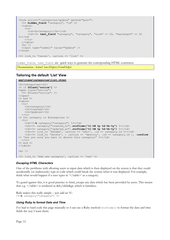```
<form action="/categories/update" method="post">
   <%= hidden_field "category", "id" %>
   <table>
    <tr>
       <td><br />
Category:</b></td>
       <td><%= text_field "category", "category", "size" => 20, "maxlength" => 20
8 > 1 + 1\langle/tr>
  \langle/table>
  \langlehr />
   <input type="submit" value="Update" />
\langle/form>
<%= link_to 'Cancel', :action => 'list' %>
```

```
hidden field, text field are quick ways to generate the corresponding HTML constructs.
Documentation: ActionView::Helpers::FormHelper
```
#### <span id="page-15-0"></span>**Tailoring the default 'List' View**

**app\views\categories\list.rhtml**

```
<h1>Categories</h1>
<% if @flash["notice"] %>
<span class="notice">
   <%= @flash["notice"] %>
</span>
<% end %>
<table>
  <tr>
     <th>Category</th>
     <th>Created</th>
     <th>Updated</th>
  \langle/tr>
<% for category in @categories %>
  <tr>
     <td><%=h category["category"] %></td>
     <td><%= category["created_on"].strftime("%I:%M %p %d-%b-%y") %></td>
     <td><%= category["updated_on"].strftime("%I:%M %p %d-%b-%y") %></td>
    \lt dd>\lt%= link_to 'Rename', :action => 'edit', :id => category.id %></td>
     <td><%= link_to 'Delete', { :action => 'destroy', :id => category.id }, :confirm
=> 'Are you sure you want to delete this category?' %></td>
 \langle/tr>
<% end %>
</table>
\text{br} />
\langle%= link to 'Add new category', :action => 'new' %>
```
#### *Escaping HTML Characters*

One of the problems with allowing users to input data which is then displayed on the screen is that they could accidentally (or maliciously) type in code which could break the system when it was displayed. For example, think what would happen if a user types in  $\le$ /table>' as a category.

To guard against this, it is good practice to html\_escape any data which has been provided by users. This means that e.g.  $\langle \rangle$  table> is rendered as </table&gt; which is harmless.

Rails makes this really simple – just add an 'h': <%=**h** category["category"] %>

#### *Using Ruby to format Date and Time*

I've had to hard code this page manually so I can use a Ruby method strftime() to format the date and time fields the way I want them.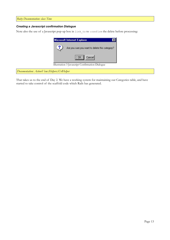*Ruby Documentation: class Time*

#### *Creating a Javascript confirmation Dialogue*

Note also the use of a Javascript pop-up box in link\_to to :confirm the delete before processing:



*Documentation: ActionView::Helpers::UrlHelper*

That takes us to the end of Day 2. We have a working system for maintaining our Categories table, and have started to take control of the scaffold code which Rails has generated.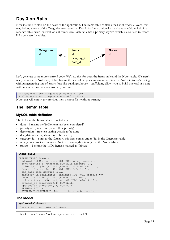# **Day 3 on Rails**

Now it's time to start on the heart of the application. The Items table contains the list of 'todos'. Every Item may belong to one of the Categories we created on Day 2. An Item optionally may have one Note, held in a separate table, which we will look at tomorrow. Each table has a primary key 'id', which is also used to record links between the tables.



Let's generate some more scaffold code. We'll do this for both the Items table and the Notes table. We aren't ready to work on Notes as yet, but having the scaffold in place means we can refer to Notes in today's coding without generating lots of errors. Just like building a house – scaffolding allows you to build one wall at a time without everything crashing around your ears.

```
W:\ToDo>ruby script/generate scaffold Item
W:\ToDo>ruby script/generate scaffold Note
Note: this will empty any previous item or note files without warning
```
# **The 'Items' Table**

## **MySQL table defintion**

The fields in the Items table are as follows:

- done 1 means the ToDo item has been completed<sup>[4](#page-18-0)</sup>
- priority  $-1$  (high priority) to 5 (low priority)
- description free text stating what is to be done
- due\_date stating when it is to be done by
- category\_id a link to the Category this item comes under ('id' in the Categories table)
- note  $id a$  link to an optional Note explaining this item ( $id'$  in the Notes table)
- private 1 means the ToDo items is classed as 'Private'

#### **Items table**

```
CREATE TABLE items (
 id smallint(5) unsigned NOT NULL auto increment,
  done tinyint(1) unsigned NOT NULL default '0',
 priority tinyint(1) unsigned NOT NULL default '3',
  description varchar(40) NOT NULL default '',
 due date date default NULL,
  category_id smallint(5) unsigned NOT NULL default '0',
 note id smallint(5) unsigned default NULL,
  private tinyint(3) unsigned NOT NULL default '0',
  created_on timestamp(14) NOT NULL,
 updated_on timestamp(14) NOT NULL,
 PRIMARY KEY (id)
 ) TYPE=MyISAM COMMENT='List of items to be done';
```
## **The Model**

#### **app\models\item.rb**

class Item < ActiveRecord::Base

<span id="page-18-0"></span><sup>4</sup> MySQL doesn't have a 'boolean' type, so we have to use 0/1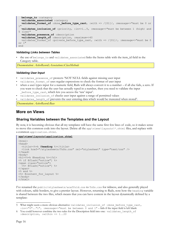```
 belongs_to :category
   validates_associated :category
   validates_format_of :done_before_type_cast, :with => /[01]/, :message=>"must be 0 or
1"
  validates inclusion of :priority, :in=>1..5, :message=>"must be between 1 (high) and
5 (low)"
  validates_presence_of :description
 validates length of :description, :maximum=>40
 validates format of :private before type cast, :with => /[01]/, :message=>"must be 0
or 1"
end
```
#### *Validating Links between Tables*

the use of belongs to and validates associated links the Items table with the item id field in the Category table.

*Documentation: ActiveRecord::Associations::ClassMethods*

#### *Validating User Input*

- validates presence of protects 'NOT NULL fields against missing user input
- validates format of uses regular expressions to check the format of user input
- when a user types input for a numeric field, Rails will always convert it to a number if all else fails, a zero. If you want to check that the user has actually typed in a number, then you need to validate the input \_before\_type\_cast, which lets you access the 'raw' input<sup>[5](#page-19-0)</sup>.
- validates inclusion of checks user input against a range of permitted values
- validates\_length\_of prevents the user entering data which would be truncated when stored<sup>[6](#page-19-1)</sup>.

*Documentation: ActiveRecord::Base*

# **More on Views**

#### **Sharing Variables between the Templates and the Layout**

By now, it is becoming obvious that all my templates will have the same first few lines of code, so it makes sense to move this common code into the layout. Delete all the app\views\layouts\\*.rhtml files, and replace with a common application.rhtml.

```
app\views\layouts\application.rhtml
```

```
<h+ml><head>
  <title><%=h @heading %></title>
   <link href="/stylesheets/ToDo.css" rel="stylesheet" type="text/css" />
</head>
<body>
<h1><%=h @heading %></h1>
<% if @flash["notice"] %>
<span class="notice">
   <%= @flash["notice"] %>
</span>
<% end %>
<%= @content_for_layout %>
</body>
</html>
```
I've renamed the public/stylesheets/acaffold.css to ToDo.css for tidiness, and also generally played with colours, table borders, to give a prettier layout. However, returning to Rails, note how the heading variable is shared between the two files, which means that you can have content in the layout dynamically defined by a template:

<span id="page-19-0"></span><sup>5</sup> What might seem a more obvious alternative: validates inclusion of :done before type cast, :in=>"0".."1", :message=>"must be between 0 and 1" – fails if the input field is left blank

<span id="page-19-1"></span><sup>6</sup> You could however combine the two rules for the Description field into one: validates\_length\_of : description, : within  $\Rightarrow$  1..20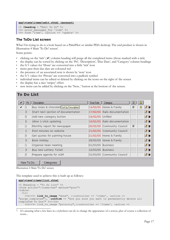```
app\views\items\edit.rhtml (excerpt)
```

```
<% @heading = "Edit To Do" %>
<%= error_messages_for 'item' %>
\leq form \overline{\cdot} item', :action => 'update' %>
```
# **The ToDo List screen**

What I'm trying to do is a look based on a PalmPilot or similar PDA desktop. The end product is shown in Illustration [4 Main 'To Do' screen](#page-20-0)<sup>[7](#page-20-1)</sup>.

Some points:

- clicking on the 'tick'  $(\nearrow)$  column heading will purge all the completed items (those marked with a tick)
- the display can be sorted by clicking on the 'Pri', 'Description', 'Due Date', and 'Category' column headings
- the 0/1 values for 'Done' are converted into a little 'tick' icon
- items past their due date are coloured red
- the presence of an associated note is shown by 'note' icon
- the 0/1 values for 'Private' are converted into a padlock symbol
- individual items can be edited or deleted by clicking on the icons on the right of the screen
- the display has a nice 'stripey' effect
- new items can be added by clicking on the 'New...' button at the bottom of the screen.

# **To Do List**

|   |              | Description                               | Due Date          | Category                     | Б |   |     |
|---|--------------|-------------------------------------------|-------------------|------------------------------|---|---|-----|
| ✓ |              | Buy roses & chocolate Sort by Description |                   | 14/02/05 Home & Family       | Б | 自 | ₫π  |
|   | 3            | Start next section of documentation       |                   | 17/02/05 Rails documentation |   |   | ₫π  |
|   | 5            | Add new category button                   | 19/02/05 Unfiled  |                              |   |   | ø t |
|   | 5            | Allow 1-click updating                    |                   | 19/02/05 Rails documentation |   |   | ₫ π |
|   | 1            | Monthly report for newspaper              |                   | 20/02/05 Community Council   | F |   | øt  |
|   | 1            | Post minutes on website                   |                   | 21/02/05 Community Council   |   |   | ₫π  |
|   | 5            | Get quotes for painting house             |                   | 21/02/05 Home & Family       |   |   | ø t |
|   | 3            | Book Holiday                              |                   | 28/02/05 Home & Family       |   |   | ₫π  |
|   | $\mathbf{1}$ | Organise team meeting                     | 01/03/05 Business |                              |   |   | ₫π  |
|   | з            | Buy new Lottery Ticket                    | 12/03/05 Business |                              |   |   | ₫π  |
|   | 5            | Prepare agenda for AGM                    |                   | 31/03/05 Community Council   |   |   | ₫ π |

<span id="page-20-0"></span>New To Do... Categories

Illustration 4 Main 'To Do' screen

The template used to achieve this is built up as follows:

#### **app\views\items\list.rhtml**

```
<% @heading = "To Do List" %>
<form action="/items/new" method="post">
<table>
  \langle \text{tr} \rangle <th><%= link_to_image "done", {:controller => 'items', :action =>
"purge_completed"}, :confirm => "Are you sure you want to permanently delete all
completed To Dos?" %></th>
    <th><%= link to image "priority", {:controller => 'items', :action =>
```
<span id="page-20-1"></span><sup>7</sup> It's amazing what a few lines in a stylesheet can do to change the appearance of a screen, plus of course a collection of icons...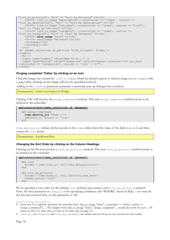```
"list by priority"}, "alt" => "Sort by Priority" %></th>
    \tanh^{-1} \leq link to image "description", {:controller => 'items', :action =>
"list by_description"}, "alt" => "Sort by Description" %></th>
 <th><%= link_to_image "due_date", {:controller => 'items', :action => "list"},
"alt" => "Sort by Due Date" %></th>
    \langleth>\langle%= link to image "category", {:controller => 'items', :action =>
"list by category"}, "alt" => "Sort by Category" %></th>
    <th><%= show image "note" %></th>
    <th><%= show_image "private" %></th>
    \langle \text{th}\rangle & nbsp; \langle \text{th}\rangle<th>&nbsp;</th>
  \langle/tr>
<%= render_collection_of_partials "list_stripes", @items %>
\langle/table>
  \langlehr />
   <input type="submit" value="New To Do..." />
   <input type="button" value="Categories" onClick="parent.location='<%= url_for(
:controller => 'categories', :action => 'list' ) %>'">
</form>
```
#### *Purging completed 'ToDos' by clicking on an icon*

Clickable images are created by link to image, which by default expects to find an image in pub/images with a .png suffix; clicking on the image will run the specified method<sup>[8](#page-21-0)</sup>.

Adding in the :confirm parameter generates a javascript pop-up dialogue box as before.

*Documentation: ActionView::Helpers::UrlHelper*

Clicking 'OK' will invokes the purge\_completed method. This new purge\_completed method needs to be defined in the controller:

```
app\controllers\items_controller.rb (excerpt)
```

```
 def purge_completed
 Item.destroy all "done = 1"
   redirect_to :action => 'list'
 end
```
Item.destroy\_all deletes all the records in the Items table where the value of the field done is 1, and then reruns the list action.

*Documentation: ActiveRecord::Base*

#### *Changing the Sort Order by clicking on the Column Headings*

Clicking on the Pri icon invokes a list by priority method. This new list by priority method needs to be defined in the controller:

```
app\controllers\items_controller.rb (excerpt)
   def list
    @items = Item.find all (nil, 'due date, priority')
   end
   def list_by_priority
     @items = Item.find_all (nil,'priority,due_date')
    render action 'list'
   end
```
We've specified a sort order for the default list method, and created a new list\_by\_priority method<sup>[9](#page-21-1)</sup>. Note: the first parameter in find\_all is for specifying conditions (the 'WHERE' clause in SQL) – we want all the records returned here, so this parameter is 'nil'.

<span id="page-21-0"></span><sup>8</sup> Note how I've explicitly specified the controller here: link\_to\_image "done", {:controller => 'items', :action => "purge\_completed"},.... The simpler form: link\_to\_image "done", "purge\_completed",... would also work for now ... I'll return to why I've done this on *[Links on the Home Page](#page-34-0)* on page [31\)](#page-34-0)

<span id="page-21-1"></span><sup>9</sup> list by description and list by category are similar and are left as an easy exercise for the reader.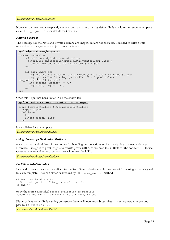*Documentation: ActiveRecord::Base*

Note also that we need to explicitly render action 'list', as by default Rails would try to render a template called list by priority (which doesn't exist :-)

#### *Adding a Helper*

The headings for the Note and Private columns are images, but are not clickable. I decided to write a little method show image (name) to just show the image:

#### **app\helpers\items\_helper.rb**

```
module ItemsHelper
    def self.append features(controller)
       controller.ancestors.include?(ActionController::Base) ?
         controller.add_template_helper(self) : super
     end
     def show_image(src)
       img options = { "src" => src.include?("/") ? src : "/images/#{src}" }
       img - options['src"] = img options['src"] + " .png" unlessimg_options["src"].include?(".")
        img_options["border"] = "0"
       tag \vec{y} img", img options)
     end
end
```
Once this helper has been linked in by the controller:

```
app\controllers\items_controller.rb (excerpt)
```

```
class ItemsController < ApplicationController
  helper :Items
   def index
     list
     render_action 'list'
   end
```
it is available for the template.

*Documentation: ActionView::Helpers*

#### *Using Javascript Navigation Buttons*

onClick is a standard Javascipt technique for handling button actions such as navigating to a new web page. However, Rails goes to great lengths to rewrite pretty URLS, so we need to ask Rails for the correct URL to use. Given a module and an action url for will return the URL...

*Documentation: ActionController::Base*

#### *Partials – sub-templates*

I wanted to create a nice stripey effect for the list of items. *Partials* enable a section of formatting to be delegated to a sub-template. They can either be invoked by the render partial method:

```
<% for item in @items %>
  <%= render_partial "list_stripes", item %>
<% end %>
```

```
or by the more economical render collection of partials:
render_collection_of_partials "list_stripes", @items
```
Either code (another Rails naming convention here) will invoke a sub-template list stripes.rhtml and pass to it the variable item.

*Documentation: ActionView::Partials*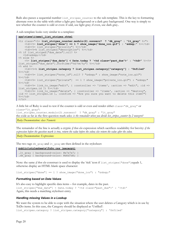Rails also passes a sequential number list stripes counter to the sub-template. This is the key to formatting alternate rows in the table with either a light grey background or a dark grey background. One way is simply to test whether the counter is odd or even: if odd, use light gray; if even, use dark gray..

A sub-template looks very similar to a template:

```
app\views\items\_list_stripes.rhtml
<tr class="<%= list_stripes_counter.modulo(2).nonzero? ? "dk_gray" : "lt_gray" %>">
    <td><%= list stripes["done"] == 1 ? show image("done ico.gif") : " &nbsp;" %></td>
    <td><%= list_stripes["priority"] %></td>
     <td><%=h list_stripes["description"] %></td>
<% if list stripes["due date"].nil? %>
   <td> </td>
<% else %>
 <%= list_stripes["due_date"] < Date.today ? '<td class="past_due">' : "<td>" %><%=
list_stripes["due_date"].strftime("%d/%m/%y") %></td>
<% end %>
     <td><%=h list_stripes.category ? list_stripes.category["category"] : "Unfiled"
%></td>
    <td><%= list stripes["note id"].nil? ? " &nbsp;" : show image("note ico.gif")
%></td>
    <td><%= list stripes["private"] == 1 ? show image("private ico.gif") : " &nbsp;"
%></td>
    <br><t><td><t><td><td><td></td></td> and <br><t><td><td><td></td></td> .list stripes.id \overline{\}) \overline{\}></td>
    \overline{<}td><%= link to image("delete", { :controller => 'items', :action => "destroy",
:id => list_stripes.id }, :confirm => "Are you sure you want to delete this item?")
8 > < /t d\langle/tr>
```
A little bit of Ruby is used to test if the counter is odd or even and render either class="dk\_gray" or class="lt\_gray":

list stripes counter.modulo(2).nonzero? ? "dk gray" : "lt gray" the code as far as the first question mark asks: *is the remainder when you divide list\_stripes\_counter by 2 nonzero?*

*Ruby Documentation: class Numeric*

The remainder of the line is actually a cryptic *if then else* expression which sacrifices readability for brevity: *if the expression before the question mark is true, return the value before the colon; else return the value after the colon.*

*Ruby Documentation: Expressions*

The two tags dk\_gray and 1t\_gray are then defined in the stylesheet:

**public\stylesheets\ToDo.css (excerpt)**

```
.1t gray { background-color: #e7e7e7; }
.dk gray { background-color: #d6d7d6; }
```
Note: the same *if then else* construct is used to display the 'tick' icon if list\_stripes["done"]equals 1, otherwise display an HTML blank space character:

list\_stripes["done"] == 1 ? show\_image("done\_ico") : " "

#### *Formatting based on Data Values*

It's also easy to highlight specific data items – for example, dates in the past. list stripes["due date"] < Date.today ? '<td class="past due">' : '<td>' Again, this needs a matching stylesheet entry.

#### *Handling missing Values in a Lookup*

We want the system to be able to cope with the situation where the user deletes a Category which is in use by ToDo items. In this case, the Category should be displayed as 'Unfiled': list stripes.category ? list stripes.category["category"] : 'Unfiled'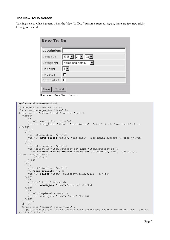## **The New ToDo Screen**

Turning next to what happens when the 'New To Do...' button is pressed. Again, there are few new tricks lurking in the code.

| Description: |                                            |  |
|--------------|--------------------------------------------|--|
| Date due:    | $2005$ $\boxed{2}$ $\boxed{2}$ $\boxed{2}$ |  |
| Category:    | Home and Family                            |  |
| Priority:    | $3 -$                                      |  |
| Private?     | г                                          |  |
| Complete?    | г                                          |  |

Illustration 5 New 'To Do' screen

#### **app\views\items\new.rhtml**

```
\langle\ @heading = "New To Do" \>
<%= error_messages_for 'item' %>
<form action="/items/create" method="post">
   <table>
    <tr>
       <td><br />b>Description: </b></td>
       <br><t><del>dd</del>>><sup>8</sup>=</math> text field "item", "description", "size" <math display="inline">=</math> 40, "maxlength" <math display="inline">=</math> 40%></td>
    \langle/tr>
     <tr>
       <td><bb>Date due: </b></td>
        <td><%= date_select "item", "due_date", :use_month_numbers => true %></td>
    \langletr>
    <tr>
       <td><br />
Category: </b></td>
<td><select id="item_category_id" name="item[category_id]">
 <%= options_from_collection_for_select @categories, "id", "category",
@item.category_id %>
           \langle/select>
       \langle t \rangle\langle/tr>
    <tr>
       <td><br />b>Priority: </b></td>
        <% @item.priority = 3 %>
      <td><%= select "item", "priority", [1,2,3,4,5] %></td>
    \langle/tr>
    \langle \text{tr} \rangle<td><br />b>Private? </b></td>
       <td><%= check box "item", "private" %></td>
    \langle/tr>
    \langle \text{tr} \rangle<td><br />b>Complete? </b></td>
       <td><%= check box "item", "done" %></td>
    \langle/tr>
   </table>
  \langlehr />
   <input type="submit" value="Save" />
 <input type="button" value="Cancel" onClick="parent.location='<%= url_for( :action
=> 'list' ) %>'">
```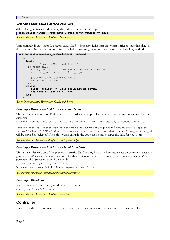#### *Creating a Drop-down List for a Date Field*

date\_select generates a rudimentary drop-down menu for date input:

```
date select "item", "due date", :use month numbers => true
```

```
Documentation: ActionView::Helpers::DateHelper
```
Unfortunately it quite happily accepts dates like 31<sup>st</sup> February. Rails then dies when it tries to save this 'date' to the database. One workround is to trap this failed save using rescue, a Ruby exception handling method

**app\controllers\items\_controller.rb (excerpt)** 

```
 def create
       begin
        @item = Item.new(@params['item'])
        if @item.save
          flash['notice'] = 'Item was successfully created.'
         redirect to :action => 'list by priority'
        else
          @categories = Category.find_all
          render_action 'new'
        end
       rescue
          flash['notice'] = 'Item could not be saved.'
          redirect_to :action => 'new'
       end
    end
Ruby Documentation: Exceptions, Catch, and Throw
```
#### *Creating a Drop-down List from a Lookup Table*

This is another example of Rails solving an everyday coding problem in an extremely economical way. In this example:

```
options_from_collection_for_select @categories, "id", "category", @item.category_id
```
options\_from\_collection\_for\_select reads all the records in categories and renders them as <option value="*[value of id]">*[value of category]</option>. The record that matches @item\_category\_id will be tagged as 'selected'. As is this wasn't enough, the code even html\_escapes the data for you. Neat.

*Documentation: ActionView::Helpers::FormOptionsHelper*

#### *Creating a Drop-down List from a List of Constants*

This is a simpler version of the previous scenario. Hard-coding lists of values into selection boxes isn't always a good idea – it's easier to change data in tables than edit values in code. However, there are cases where it's a perfectly valid approach, so in Rails you do:

select "item", "priority", [1,2,3,4,5]

Note also how to set a default value in the previous line of code.

*Documentation: ActionView::Helpers::FormOptionsHelper*

#### *Creating a Checkbox*

Another regular requirement; another helper in Rails:

check\_box "item","private"

*Documentation: ActionView::Helpers::FormHelper*

# **Controller**

Data driven drop down boxes have to get their data from somewhere – which has to be the controller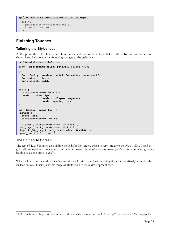```
app\controllers\items_controller.rb (excerpt)
```

```
 def new
   @categories = Category.find_all
   @item = Item.new
 end
```
# **Finishing Touches**

## **Tailoring the Stylesheet**

At this point, the ToDo List screen should work, and so should the New ToDo button. To produce the screens shown here, I also made the following changes to the stylesheet:

```
public\stylesheets\ToDo.css
body { background-color: #c6c3c6; color: #333; }
h1 {
   font-family: verdana, arial, helvetica, sans-serif;
   font-size: 14pt;
   font-weight: bold;
}
table {
  background-color:#e7e7e7;
  border: outset 1px; 
               border-collapse: separate;
               border-spacing: 1px;
}
td { border: inset 1px; }
.notice {
  color: red;
  background-color: white;
}
.lt_gray { background-color: #e7e7e7; }
.dk_gray { background-color: #d6d7d6; }
.hightlight_gray { background-color: #4a9284; }
.past_due { color: red }
```
# **The Edit ToDo Screen**

The rest of Day 3 is taken up building the Edit ToDo screen, which is very similar to the New ToDo. I used to get really annoyed with college text books which stated: *this is left as an easy exercise for the reader,* so now it's great to be able to do the same to you<sup>[10](#page-26-0)</sup>.

Which takes us to the end of Day 3 – and the application now looks nothing like a Rails scaffold, but under the surface, we're still using a whole range of Rails tools to make development easy.

<span id="page-26-0"></span><sup>10</sup> But unlike my college text book authors, I do reveal the answers on Day 4 :-) - see *[app\views\items\edit.rhtml](#page-29-0)* on page [26](#page-29-0)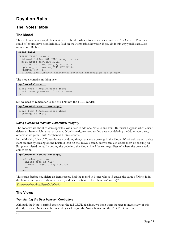# **Day 4 on Rails**

# **The 'Notes' table**

# **The Model**

This table contains a single free text field to hold further information for a particular ToDo Item. This data could of course have been held in a field on the Items table; however, if you do it this way you'll learn a lot more about Rails :-)

```
Notes table
```

```
CREATE TABLE notes (
  id smallint(6) NOT NULL auto increment,
 more notes text NOT NULL,
  created on timestamp(14) NOT NULL,
   updated_on timestamp(14) NOT NULL,
   PRIMARY KEY (id)
 ) TYPE=MyISAM COMMENT='Additional optional information for to-dos';
```
The model contains nothing new.

**app\models\note.rb** class Note < ActiveRecord::Base validates\_presence\_of :more\_notes end

but we need to remember to add this link into the Items model:

**app\models\item.rb (excerpt)**

```
class Item < ActiveRecord::Base
  belongs_to :note
```
#### *Using a Model to maintain Referential Integrity*

The code we are about to develop will allow a user to add one Note to any Item. But what happens when a user deletes an Item which has an associated Note? clearly, we need to find a way of deleting the Note record too, otherwise we get left with 'orphaned' Notes records.

In the Model / View / Controller way of doing things, this code belongs in the Model. Why? well, we can delete Item records by clicking on the Dustbin icon on the ToDo' screen, but we can also delete them by clicking on Purge completed items. By putting the code into the Model, it will be run regardless of where the delete action comes from.

```
app\models\item.rb (excerpt)
  def before destroy
   unless note id.nil?
     Note.find(note id).destroy
     end
   end
```
This reads: before you delete an Item record, find the record in Notes whose id equals the value of Note\_id in the Item record you are about to delete, and delete it first. Unless there isn't one :-)<sup>[11](#page-28-0)</sup>

*Documentation: ActiveRecord::Callbacks*

# **The Views**

#### *Transferring the User between Controllers*

<span id="page-28-0"></span>Although the Notes scaffold code gives the full CRUD facilities, we don't want the user to invoke any of this directly. Instead, Notes can be created by clicking on the Notes button on the Edit ToDo screen: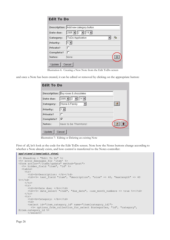|           | Description: Add new category button          |   |
|-----------|-----------------------------------------------|---|
| Date due: | $\boxed{2005 \times 2 \times 19 \times 1000}$ |   |
| Category: | ToDo Application                              | 祹 |
| Priority: | $5 -$                                         |   |
| Private?  | г                                             |   |
| Complete? | п                                             |   |
| Notes:    | None                                          |   |

Illustration 6: Creating a New Note from the Edit ToDo screen

and once a Note has been created, it can be edited or removed by clicking on the appropriate button:

|           | Description: Buy roses & chocolates                    |  |
|-----------|--------------------------------------------------------|--|
| Date due: | $2005$ $\boxed{2}$ $\boxed{2}$ $\boxed{14}$ $\boxed{}$ |  |
| Category: | Home & Family                                          |  |
| Priority: |                                                        |  |
| Private?  | ℸ                                                      |  |
| Complete? | ⊽                                                      |  |
| Notes:    | Have to be Thorntons!                                  |  |

Illustration 7: Editing or Deleting an existing Note

First of all, let's look at the code for the Edit ToDo screen. Note how the Notes buttons change according to whether a Note already exists, and how control is transferred to the Notes controller:

#### <span id="page-29-0"></span>**app\views\items\edit.rhtml**

```
<% @heading = "Edit To Do" %>
<%= error_messages_for 'item' %>
<form action="/items/update" method="post">
   <%= hidden_field "item", "id" %>
   <table>
     <tr>
      <td><br />b>Description: </b></td>
      \text{std} > \text{second} => 40, "size" => 40, "maxlength" => 40
%></td>
    \langle/tr>
    <tr>
      <td><br />b>Date due: </b></td>
      <td><%= date select "item", "due date", :use month numbers => true %></td>
    \langle/tr>
    <tr>
      <td><br />
<br />
Category: </b></td>
      <hd>
       <select id="item_category_id" name="item[category_id]">
       <%= options from collection for select @categories, "id", "category",
@item.category_id %>
      \langle/select>
```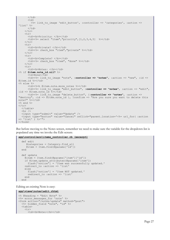```
\langle t, d \rangle<td>
          <%= link_to_image 'edit_button', :controller => 'categories', :action =>
'list' %>
       \langle/td>
     \langle/tr>
     \langle \text{tr} \rangle<td><br />>>Priority: </b></td>
       \text{std} > \text{%} = \text{select} "item", "priority", [1, 2, 3, 4, 5] %></td>
     \langle/tr>
     <tr>
       <td><br />
Private? </b></td>
       <td><%= check box "item", "private" %></td>
     \langle/tr>
     \langle \text{tr} \rangle<td><br />b>Complete? </b></td>
        <td><%= check_box "item", "done" %></td>
     \langle/tr>
     <tr>
       <td><bb>Notes: </b></td>
<% if @item.note_id.nil? %>
       <td>None</td>
        <td><%= link_to_image "note", :controller => "notes", :action => "new", :id =>
@item.id %></td>
\langle % \rangle else \langle % \rangle<td><%=h @item.note.more notes %></td>
        <td><%= link_to_image "edit_button", :controller => "notes", :action => "edit",
:id => @item.note_id \frac{1}{8}></td>
        <td><%= link_to_image "delete_button", {:controller => "notes", :action =>
"destroy", :id => \circleditem.note id }, :confirm => "Are you sure you want to delete this
note?" %></td>
<% end %>
\langle/tr>
   </table>
  \langlehr />
 <input type="submit" value="Update" />
 <input type="button" value="Cancel" onClick="parent.location='<%= url_for( :action
=> 'list' ) %>'">
</form>
```
But before moving to the Notes screen, remember we need to make sure the variable for the dropdown list is populated any time we invoke the Edit screen:

```
app\controllers\items_controller.rb (excerpt)
   def edit
      @categories = Category.find_all
     \text{Uitem} = \text{Item.find}(\text{Qparams}[\text{Id}']) end
   def update
     @item = Item.find(@params['item']['id'])
    if @item.update attributes(@params['item'])
      flash['notice'] = 'Item was successfully updated.'
     redirect_to :action => 'list'
     else
       flash['notice'] = 'Item NOT updated.'
      redirect to :action => 'list'
     end
   end
```
Editing an existing Note is easy:

```
app\views\notes\edit.rhtml
<% @heading = "Edit Note" %>
<%= error_messages_for 'note' %>
<form action="/notes/update" method="post">
   <%= hidden_field "note", "id" %>
   <table>
    <tr>
      <td><br />b>Note:</b></td>
```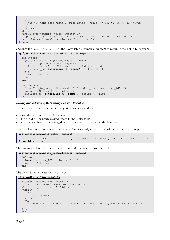```
\langle/tr>
          <tr>
              <br><t><td><</u><br><td><</u> - <br><td><td><</td><br><td><</td><br><td><</td><br><td><</td><br><td><</td><br><td><</td><br><td><</td><br><td><</td><br><td><</td><br><td><</td><br><td><</td><br><td><</td><br><td><</td><br><td><</td><br><td><</td><br><td><</td><br><td><</td><br><td><</td><br><td><</td><br><td><</td><br><td><</td><br><td><</td><br><td><</td><br><td><</td><br><td><</td><br><td><</td><br><td><</td><br><td><</td><br><td><\langle/tr>
     </table>
    \langlehr />
 <input type="submit" value="Update" />
 <input type="button" value="Cancel" onClick="parent.location='<%= url_for(
:controller => 'items', :action => 'list' ) 8>1'">
</form>
```
and once the update or destroy of the Notes table is complete, we want to return to the ToDo List screen:

```
app\controllers\notes_controller.rb (excerpt)
```

```
 def update
    @note = Note.find(@params['note']['id'])
   if @note.update attributes(@params['note'])
      flash['notice'] = 'Note was successfully updated.'
      redirect_to :controller => 'items', :action => 'list'
    else
      render_action 'edit'
    end
  end
  def destroy
 Item.find_by_note_id(@params['id']).update_attribute('note_id',NIL)
 Note.find(@params['id']).destroy
    redirect_to :controller => 'items', :action => 'list'
  end
```
#### *Saving and retrieving Data using Session Variables*

However, the create is a bit more tricky. What we want to do is:

- store the new note in the Notes table
- find the id of the newly created record in the Notes table
- record this id back in the notes\_id field of the associated record in the Items table

First of all, when we go off to create the new Notes record, we pass the id of the Item we are editing:

```
app\views\items\edit.rhtml (excerpt)
```

```
 <td><%= link_to_image "note", :controller => "notes", :action => "new", :id =>
@item.id %></td>
```
The new method in the Notes controller stores this away in a session variable:

```
app\controllers\notes_controller.rb (excerpt)
```

```
 def new
   @session['item_id'] = @params['id']
   @note = Note.new
 end
```
The New Notes template has no surprises:

```
<% @heading = "New Note" %>
```

```
<%= error_messages_for 'note' %>
<form action="/notes/create" method="post">
   <%= hidden_field "note", "id" %>
  \left\langle \text{tahle}\right\rangle <tr>
       <td><br />b>Note:</b></td>
     \langle/tr>
      <tr>
       \lttd>\lt;\= text_area "note", "more notes", "cols" => 60, "rows" => 15 %></td>
     \langle/tr>
  \langle/table>
  \langlehr />
```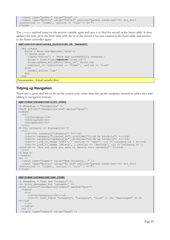```
 <input type="submit" value="Save" />
   <input type="button" value="Cancel" onClick="parent.location='<%= url_for(
:controller => 'items', :action => 'list' ) %>'">
</form>
```
The create method retrieves the session variable again and uses it to find the record in the Items table. It then updates the note\_id in the Item table with the id of the record it has just created in the Note table, and returns to the Items controller again:

```
app\controllers\notes_controller.rb (excerpt)
```

```
 def create
    @note = Note.new(@params['note'])
    if @note.save
      flash['notice'] = 'Note was successfully created.'
      @item = Item.find(@session['item_id'])
 @item.update_attribute('note_id', @note.id)
 redirect_to :controller => 'items', :action => 'list'
    else
      render_action 'new'
    end
  end
```
*Documentation: ActionController::Base*

## **Tidying up Navigation**

There isn't a great deal left to do on the system now, other than tidy up the templates created in earlier days and adding in navigation buttons:

#### **app\views\categories\list.rhtml**

```
<% @heading = "Categories" %>
<form action="/categories/new" method="post">
\left\langle \text{tahle}\right\rangle <tr>
     <th>Category</th>
     <th>Created</th>
    <th>Updated</th>
  \langle/tr>
<% for category in @categories %>
 <tr>
     <td><%=h category["category"] %></td>
 <td><%= category["created_on"].strftime("%I:%M %p %d-%b-%y") %></td>
 <td><%= category["updated_on"].strftime("%I:%M %p %d-%b-%y") %></td>
<td><%= link to image 'edit', { :action => 'edit', :id => category.id } %></td>
 <td><%= link_to_image 'delete', { :action => 'destroy', :id => category.id },
:confirm => 'Are you sure you want to delete this category?' %></td>
  \langletr>
<% end %>
\langle/table>
\hbox{\rm\;char} />
  <input type="submit" value="New Category..." />
 <input type="button" value="To Dos" onClick="parent.location='<%= url_for(
:controller => 'items', :action => 'list' ) %>'">
\langle/form\rangle
```

```
app\views\categories\new.rhtml
```

```
<% @heading = "Add new Category" %>
<%= error_messages_for 'category' %>
<form action="/categories/create" method="post">
  <table><tr>
      <td><br />
Category:</b></td>
       <td><%= text_field "category", "category", "size" => 20, "maxlength" => 20
%></td>
    \langle/tr>
   </table>
  \langlehr />
  <input type="submit" value="Save" />
```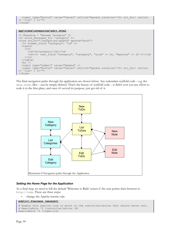```
 <input type="button" value="Cancel" onClick="parent.location='<%= url_for( :action
\Rightarrow 'list' \frac{1}{2} \frac{1}{2} \Rightarrow '">
</form>
```

```
app\views\categories\edit.rhtml
```

```
<% @heading = "Rename Category" %>
<%= error_messages_for 'category' %>
<form action="/categories/update" method="post">
   <%= hidden_field "category", "id" %>
   <table>
     <tr>
      <td><br />
Category:</b></td>
       <td><%= text_field "category", "category", "size" => 20, "maxsize" => 20 %></td>
    \langle/tr>
   </table>
  \langlehr />
 <input type="submit" value="Update" />
 <input type="button" value="Cancel" onClick="parent.location='<%= url_for( :action
\Rightarrow 'list' ) \Rightarrow '">
</form>
```
The final navigation paths through the application are shown below. Any redundant scaffold code – e.g. the show.rhtml files – can be simply deleted. That's the beauty of scaffold code – it didn't cost you any effort to code it in the first place, and once it's served its purpose, just get rid of it.



#### *Setting the Home Page for the Application*

As a final step, we need to kill the default 'Welcome to Rails' screen if the user points their browser to http://todo. There are three steps:

• change the Apache rewrite rule:

```
public\.htaccess (excerpt)
```

```
# Enable this rewrite rule to point to the controller/action that should serve root.
# RewriteRule ^$ /controller/action [R]
RewriteRule ^$ /items/list
```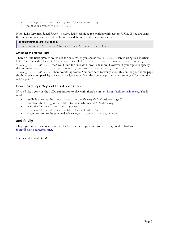- rename public\index.html public\index.html.orig
- point your browser to [http://todo](http://todo/)

Note: Rails 0.10 introduced *Routes* – a native Rails technique for working with custom URLs. If you are using 0.10 or above, you need to add the home page definition in the new Routes file:

#### **config\routes.rb (excerpt)**

map.connect '', :controller => 'items', :action => 'list'

#### <span id="page-34-0"></span>*Links on the Home Page*

There's a little Rails *gotcha* to watch out for here. When you access the items/list screen using this shortcut URL, Rails loses the plot a bit. If you use the simple form of  $\lim k$  to – e.g. link to image "done", "purge\_completed", ... – then you'll find the links don't work any more. However, if you explicitly specify the controller – e.g. link to image "done", {:controller => 'items', :action => 'purge\_completed'},... – then everything works. You only need to worry about this on the your home page (both template and partials) – once you navigate away from the home page, then the system gets "back on the rails" again :-)

# **Downloading a Copy of this Application**

If you'd like a copy of the ToDo application to play with, there's a link on [http://rails.homelinux.org.](http://rails.homelinux.org/) You'll need to

- use Rails to set up the directory structure (see *Running [the Rails script](#page-6-0)* on page [3\)](#page-6-0)
- download the todo app.zip file into the newly created ToDo directory
- unzip the files unzip  $-$ o todo\_app.zip
- rename public\index.html public\index.html.orig
- if you want to use the sample database, mysql -uroot -p < db/ToDo.sql

#### **and finally**

I hope you found this document useful – I'm always happy to receive feedback, good or bad, to [jpmcc@users.sourceforge.net](mailto:jpmcc@users.sourceforge.net?subject=Feedback on Four Days on Rails).

Happy coding with Rails!